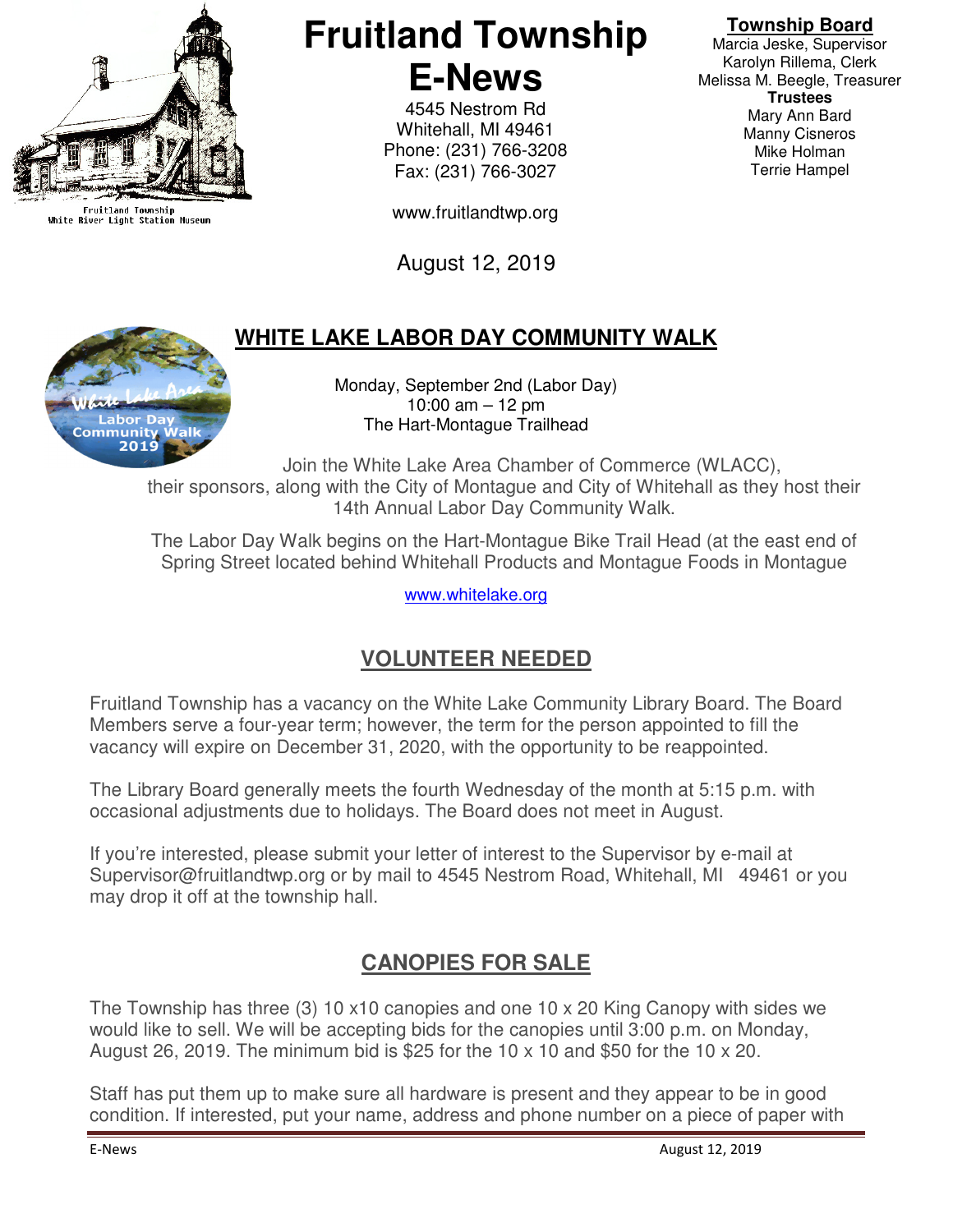

Fruitland Township<br>White River Light Station Museum

# **Fruitland Township E-News**

4545 Nestrom Rd Whitehall, MI 49461 Phone: (231) 766-3208 Fax: (231) 766-3027

www.fruitlandtwp.org

August 12, 2019

## **WHITE LAKE LABOR DAY COMMUNITY WALK**

Monday, September 2nd (Labor Day) 10:00 am – 12 pm The Hart-Montague Trailhead

Join the White Lake Area Chamber of Commerce (WLACC), their sponsors, along with the City of Montague and City of Whitehall as they host their 14th Annual Labor Day Community Walk.

The Labor Day Walk begins on the Hart-Montague Bike Trail Head (at the east end of Spring Street located behind Whitehall Products and Montague Foods in Montague

www.whitelake.org

## **VOLUNTEER NEEDED**

Fruitland Township has a vacancy on the White Lake Community Library Board. The Board Members serve a four-year term; however, the term for the person appointed to fill the vacancy will expire on December 31, 2020, with the opportunity to be reappointed.

The Library Board generally meets the fourth Wednesday of the month at 5:15 p.m. with occasional adjustments due to holidays. The Board does not meet in August.

If you're interested, please submit your letter of interest to the Supervisor by e-mail at Supervisor@fruitlandtwp.org or by mail to 4545 Nestrom Road, Whitehall, MI 49461 or you may drop it off at the township hall.

#### **CANOPIES FOR SALE**

The Township has three (3) 10 x10 canopies and one 10 x 20 King Canopy with sides we would like to sell. We will be accepting bids for the canopies until 3:00 p.m. on Monday, August 26, 2019. The minimum bid is \$25 for the 10 x 10 and \$50 for the 10 x 20.

Staff has put them up to make sure all hardware is present and they appear to be in good condition. If interested, put your name, address and phone number on a piece of paper with

Marcia Jeske, Supervisor Karolyn Rillema, Clerk Melissa M. Beegle, Treasurer **Trustees**  Mary Ann Bard Manny Cisneros Mike Holman Terrie Hampel

**Township Board**